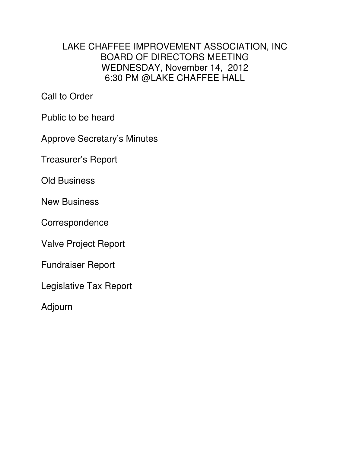# LAKE CHAFFEE IMPROVEMENT ASSOCIATION, INC BOARD OF DIRECTORS MEETING WEDNESDAY, November 14, 2012 6:30 PM @LAKE CHAFFEE HALL

Call to Order

Public to be heard

Approve Secretary's Minutes

Treasurer's Report

Old Business

New Business

Correspondence

Valve Project Report

Fundraiser Report

Legislative Tax Report

Adjourn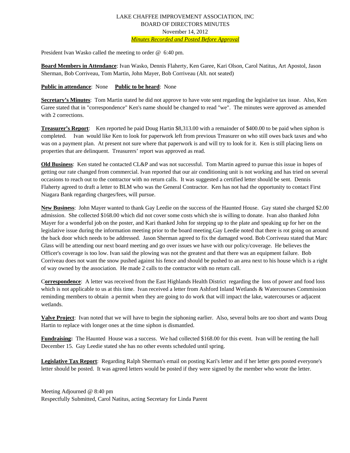## LAKE CHAFFEE IMPROVEMENT ASSOCIATION, INC BOARD OF DIRECTORS MINUTES November 14, 2012 *Minutes Recorded and Posted Before Approval*

President Ivan Wasko called the meeting to order @ 6:40 pm.

**Board Members in Attendance**: Ivan Wasko, Dennis Flaherty, Ken Garee, Kari Olson, Carol Natitus, Art Apostol, Jason Sherman, Bob Corriveau, Tom Martin, John Mayer, Bob Corriveau (Alt. not seated)

#### **Public in attendance**: None **Public to be heard**: None

**Secretary's Minutes**: Tom Martin stated he did not approve to have vote sent regarding the legislative tax issue. Also, Ken Garee stated that in "correspondence" Ken's name should be changed to read "we". The minutes were approved as amended with 2 corrections.

**Treasurer's Report**: Ken reported he paid Doug Hartin \$8,313.00 with a remainder of \$400.00 to be paid when siphon is completed. Ivan would like Ken to look for paperwork left from previous Treasurer on who still owes back taxes and who was on a payment plan. At present not sure where that paperwork is and will try to look for it. Ken is still placing liens on properties that are delinquent. Treasurers' report was approved as read.

**Old Business**: Ken stated he contacted CL&P and was not successful. Tom Martin agreed to pursue this issue in hopes of getting our rate changed from commercial. Ivan reported that our air conditioning unit is not working and has tried on several occasions to reach out to the contractor with no return calls. It was suggested a certified letter should be sent. Dennis Flaherty agreed to draft a letter to BLM who was the General Contractor. Ken has not had the opportunity to contact First Niagara Bank regarding charges/fees, will pursue.

**New Business**: John Mayer wanted to thank Gay Leedie on the success of the Haunted House. Gay stated she charged \$2.00 admission. She collected \$168.00 which did not cover some costs which she is willing to donate. Ivan also thanked John Mayer for a wonderful job on the poster, and Kari thanked John for stepping up to the plate and speaking up for her on the legislative issue during the information meeting prior to the board meeting.Gay Leedie noted that there is rot going on around the back door which needs to be addressed. Jason Sherman agreed to fix the damaged wood. Bob Corriveau stated that Marc Glass will be attending our next board meeting and go over issues we have with our policy/coverage. He believes the Officer's coverage is too low. Ivan said the plowing was not the greatest and that there was an equipment failure. Bob Corriveau does not want the snow pushed against his fence and should be pushed to an area next to his house which is a right of way owned by the association. He made 2 calls to the contractor with no return call.

C**orrespondence**: A letter was received from the East Highlands Health District regarding the loss of power and food loss which is not applicable to us at this time. Ivan received a letter from Ashford Inland Wetlands & Watercourses Commission reminding members to obtain a permit when they are going to do work that will impact the lake, watercourses or adjacent wetlands.

**Valve Project**: Ivan noted that we will have to begin the siphoning earlier. Also, several bolts are too short and wants Doug Hartin to replace with longer ones at the time siphon is dismantled.

**Fundraising:** The Haunted House was a success. We had collected \$168.00 for this event. Ivan will be renting the hall December 15. Gay Leedie stated she has no other events scheduled until spring.

**Legislative Tax Report**: Regarding Ralph Sherman's email on posting Kari's letter and if her letter gets posted everyone's letter should be posted. It was agreed letters would be posted if they were signed by the member who wrote the letter.

Meeting Adjourned @ 8:40 pm Respectfully Submitted, Carol Natitus, acting Secretary for Linda Parent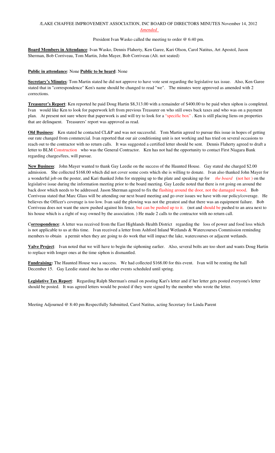## /LAKE CHAFFEE IMPROVEMENT ASSOCIATION, INC BOARD OF DIRECTORS MINUTES November 14, 2012 *Amended*

#### President Ivan Wasko called the meeting to order @ 6:40 pm.

**Board Members in Attendance**: Ivan Wasko, Dennis Flaherty, Ken Garee, Kari Olson, Carol Natitus, Art Apostol, Jason Sherman, Bob Corriveau, Tom Martin, John Mayer, Bob Corriveau (Alt. not seated)

### **Public in attendance**: None **Public to be heard**: None

**Secretary's Minutes**: Tom Martin stated he did not approve to have vote sent regarding the legislative tax issue. Also, Ken Garee stated that in "correspondence" Ken's name should be changed to read "we". The minutes were approved as amended with 2 corrections.

**Treasurer's Report**: Ken reported he paid Doug Hartin \$8,313.00 with a remainder of \$400.00 to be paid when siphon is completed. Ivan would like Ken to look for paperwork left from previous Treasurer on who still owes back taxes and who was on a payment plan. At present not sure where that paperwork is and will try to look for a "specific box" . Ken is still placing liens on properties that are delinquent. Treasurers' report was approved as read.

**Old Business**: Ken stated he contacted CL&P and was not successful. Tom Martin agreed to pursue this issue in hopes of getting our rate changed from commercial. Ivan reported that our air conditioning unit is not working and has tried on several occasions to reach out to the contractor with no return calls. It was suggested a certified letter should be sent. Dennis Flaherty agreed to draft a letter to BLM Construction who was the General Contractor. Ken has not had the opportunity to contact First Niagara Bank regarding charges/fees, will pursue.

**New Business**: John Mayer wanted to thank Gay Leedie on the success of the Haunted House. Gay stated she charged \$2.00 admission. She collected \$168.00 which did not cover some costs which she is willing to donate. Ivan also thanked John Mayer for a wonderful job on the poster, and Kari thanked John for stepping up to the plate and speaking up for *the board* (not her ) on the legislative issue during the information meeting prior to the board meeting. Gay Leedie noted that there is rot going on around the back door which needs to be addressed. Jason Sherman agreed to fix the flashing around the door, not the damaged wood. Bob Corriveau stated that Marc Glass will be attending our next board meeting and go over issues we have with our policy/coverage. He believes the Officer's coverage is too low. Ivan said the plowing was not the greatest and that there was an equipment failure. Bob Corriveau does not want the snow pushed against his fence, but can be pushed up to it. (not and should be pushed to an area next to his house which is a right of way owned by the association. ) He made 2 calls to the contractor with no return call.

C**orrespondence**: A letter was received from the East Highlands Health District regarding the loss of power and food loss which is not applicable to us at this time. Ivan received a letter from Ashford Inland Wetlands & Watercourses Commission reminding members to obtain a permit when they are going to do work that will impact the lake, watercourses or adjacent wetlands.

**Valve Project**: Ivan noted that we will have to begin the siphoning earlier. Also, several bolts are too short and wants Doug Hartin to replace with longer ones at the time siphon is dismantled.

**Fundraising:** The Haunted House was a success. We had collected \$168.00 for this event. Ivan will be renting the hall December 15. Gay Leedie stated she has no other events scheduled until spring.

**Legislative Tax Report**: Regarding Ralph Sherman's email on posting Kari's letter and if her letter gets posted everyone's letter should be posted. It was agreed letters would be posted if they were signed by the member who wrote the letter.

Meeting Adjourned @ 8:40 pm Respectfully Submitted, Carol Natitus, acting Secretary for Linda Parent